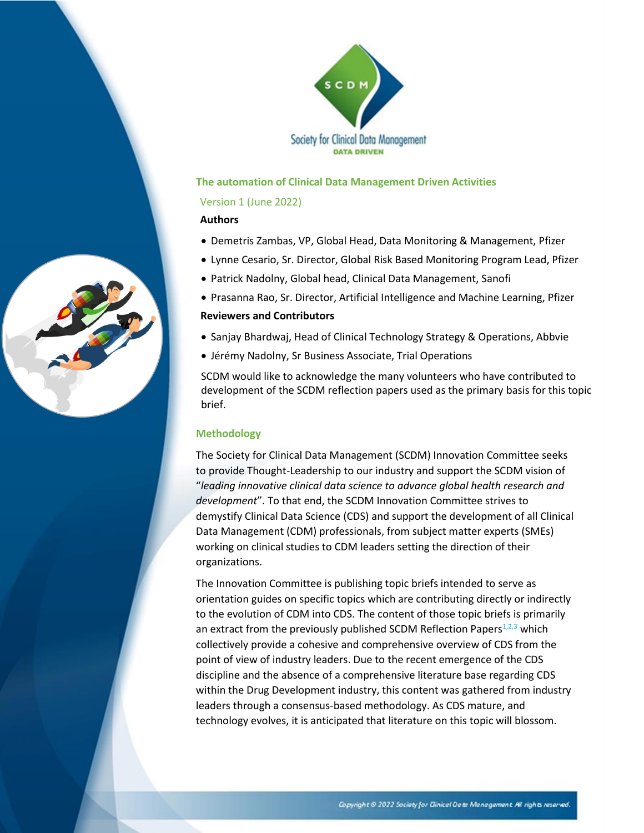

#### **The automation of Clinical Data Management Driven Activities**

#### Version 1 (June 2022)

#### **Authors**

- Demetris Zambas, VP, Global Head, Data Monitoring & Management, Pfizer
- Lynne Cesario, Sr. Director, Global Risk Based Monitoring Program Lead, Pfizer
- Patrick Nadolny, Global head, Clinical Data Management, Sanofi
- Prasanna Rao, Sr. Director, Artificial Intelligence and Machine Learning, Pfizer

#### **Reviewers and Contributors**

- Sanjay Bhardwaj, Head of Clinical Technology Strategy & Operations, Abbvie
- Jérémy Nadolny, Sr Business Associate, Trial Operations

SCDM would like to acknowledge the many volunteers who have contributed to development of the SCDM reflection papers used as the primary basis for this topic brief.

#### **Methodology**

The Society for Clinical Data Management (SCDM) Innovation Committee seeks to provide Thought-Leadership to our industry and support the SCDM vision of "*leading innovative clinical data science to advance global health research and development*". To that end, the SCDM Innovation Committee strives to demystify Clinical Data Science (CDS) and support the development of all Clinical Data Management (CDM) professionals, from subject matter experts (SMEs) working on clinical studies to CDM leaders setting the direction of their organizations.

The Innovation Committee is publishing topic briefs intended to serve as orientation guides on specific topics which are contributing directly or indirectly to the evolution of CDM into CDS. The content of those topic briefs is primarily an extract from the previously published SCDM Reflection Papers $1,2,3$  which collectively provide a cohesive and comprehensive overview of CDS from the point of view of industry leaders. Due to the recent emergence of the CDS discipline and the absence of a comprehensive literature base regarding CDS within the Drug Development industry, this content was gathered from industry leaders through a consensus-based methodology. As CDS mature, and technology evolves, it is anticipated that literature on this topic will blossom.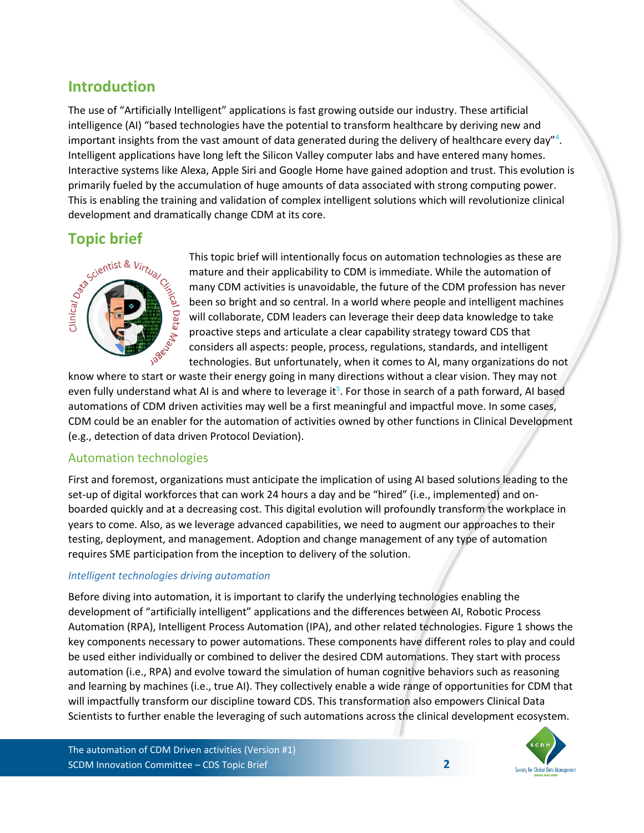# **Introduction**

The use of "Artificially Intelligent" applications is fast growing outside our industry. These artificial intelligence (AI) "based technologies have the potential to transform healthcare by deriving new and important insights from the vast amount of data generated during the delivery of healthcare every day"<sup>4</sup>. Intelligent applications have long left the Silicon Valley computer labs and have entered many homes. Interactive systems like Alexa, Apple Siri and Google Home have gained adoption and trust. This evolution is primarily fueled by the accumulation of huge amounts of data associated with strong computing power. This is enabling the training and validation of complex intelligent solutions which will revolutionize clinical development and dramatically change CDM at its core.



This topic brief will intentionally focus on automation technologies as these are mature and their applicability to CDM is immediate. While the automation of many CDM activities is unavoidable, the future of the CDM profession has never been so bright and so central. In a world where people and intelligent machines will collaborate, CDM leaders can leverage their deep data knowledge to take proactive steps and articulate a clear capability strategy toward CDS that considers all aspects: people, process, regulations, standards, and intelligent technologies. But unfortunately, when it comes to AI, many organizations do not

know where to start or waste their energy going in many directions without a clear vision. They may not even fully understand what AI is and where to leverage it<sup>5</sup>. For those in search of a path forward, AI based automations of CDM driven activities may well be a first meaningful and impactful move. In some cases, CDM could be an enabler for the automation of activities owned by other functions in Clinical Development (e.g., detection of data driven Protocol Deviation).

## Automation technologies

First and foremost, organizations must anticipate the implication of using AI based solutions leading to the set-up of digital workforces that can work 24 hours a day and be "hired" (i.e., implemented) and onboarded quickly and at a decreasing cost. This digital evolution will profoundly transform the workplace in years to come. Also, as we leverage advanced capabilities, we need to augment our approaches to their testing, deployment, and management. Adoption and change management of any type of automation requires SME participation from the inception to delivery of the solution.

## *Intelligent technologies driving automation*

Before diving into automation, it is important to clarify the underlying technologies enabling the development of "artificially intelligent" applications and the differences between AI, Robotic Process Automation (RPA), Intelligent Process Automation (IPA), and other related technologies. Figure 1 shows the key components necessary to power automations. These components have different roles to play and could be used either individually or combined to deliver the desired CDM automations. They start with process automation (i.e., RPA) and evolve toward the simulation of human cognitive behaviors such as reasoning and learning by machines (i.e., true AI). They collectively enable a wide range of opportunities for CDM that will impactfully transform our discipline toward CDS. This transformation also empowers Clinical Data Scientists to further enable the leveraging of such automations across the clinical development ecosystem.

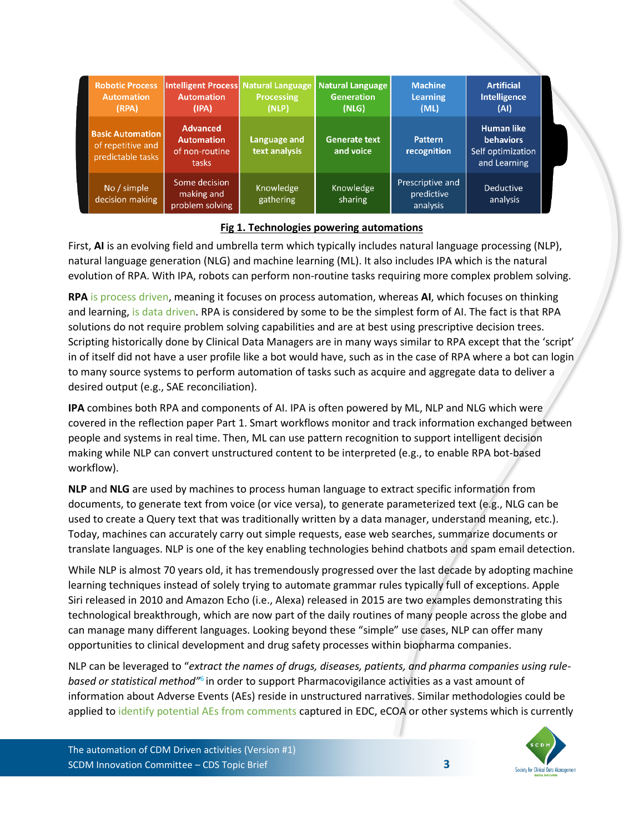| <b>Robotic Process</b><br><b>Automation</b><br>(RPA)              | <b>Automation</b><br>(IPA)                                      | <b>Processing</b><br>(NLP)    | Intelligent Process Natural Language Natural Language<br><b>Generation</b><br>(NLG) | <b>Machine</b><br><b>Learning</b><br>(ML)  | <b>Artificial</b><br><b>Intelligence</b><br>(AI)                           |
|-------------------------------------------------------------------|-----------------------------------------------------------------|-------------------------------|-------------------------------------------------------------------------------------|--------------------------------------------|----------------------------------------------------------------------------|
| <b>Basic Automation</b><br>of repetitive and<br>predictable tasks | <b>Advanced</b><br><b>Automation</b><br>of non-routine<br>tasks | Language and<br>text analysis | <b>Generate text</b><br>and voice                                                   | Pattern<br>recognition                     | <b>Human like</b><br><b>behaviors</b><br>Self optimization<br>and Learning |
| No / simple<br>decision making                                    | Some decision<br>making and<br>problem solving                  | Knowledge<br>gathering        | Knowledge<br>sharing                                                                | Prescriptive and<br>predictive<br>analysis | Deductive<br>analysis                                                      |

## **Fig 1. Technologies powering automations**

First, **AI** is an evolving field and umbrella term which typically includes natural language processing (NLP), natural language generation (NLG) and machine learning (ML). It also includes IPA which is the natural evolution of RPA. With IPA, robots can perform non-routine tasks requiring more complex problem solving.

**RPA** is process driven, meaning it focuses on process automation, whereas **AI**, which focuses on thinking and learning, is data driven. RPA is considered by some to be the simplest form of AI. The fact is that RPA solutions do not require problem solving capabilities and are at best using prescriptive decision trees. Scripting historically done by Clinical Data Managers are in many ways similar to RPA except that the 'script' in of itself did not have a user profile like a bot would have, such as in the case of RPA where a bot can login to many source systems to perform automation of tasks such as acquire and aggregate data to deliver a desired output (e.g., SAE reconciliation).

**IPA** combines both RPA and components of AI. IPA is often powered by ML, NLP and NLG which were covered in the reflection paper Part 1. Smart workflows monitor and track information exchanged between people and systems in real time. Then, ML can use pattern recognition to support intelligent decision making while NLP can convert unstructured content to be interpreted (e.g., to enable RPA bot-based workflow).

**NLP** and **NLG** are used by machines to process human language to extract specific information from documents, to generate text from voice (or vice versa), to generate parameterized text (e.g., NLG can be used to create a Query text that was traditionally written by a data manager, understand meaning, etc.). Today, machines can accurately carry out simple requests, ease web searches, summarize documents or translate languages. NLP is one of the key enabling technologies behind chatbots and spam email detection.

While NLP is almost 70 years old, it has tremendously progressed over the last decade by adopting machine learning techniques instead of solely trying to automate grammar rules typically full of exceptions. Apple Siri released in 2010 and Amazon Echo (i.e., Alexa) released in 2015 are two examples demonstrating this technological breakthrough, which are now part of the daily routines of many people across the globe and can manage many different languages. Looking beyond these "simple" use cases, NLP can offer many opportunities to clinical development and drug safety processes within biopharma companies.

NLP can be leveraged to "*extract the names of drugs, diseases, patients, and pharma companies using rule*based or statistical method<sup>16</sup> in order to support Pharmacovigilance activities as a vast amount of information about Adverse Events (AEs) reside in unstructured narratives. Similar methodologies could be applied to identify potential AEs from comments captured in EDC, eCOA or other systems which is currently

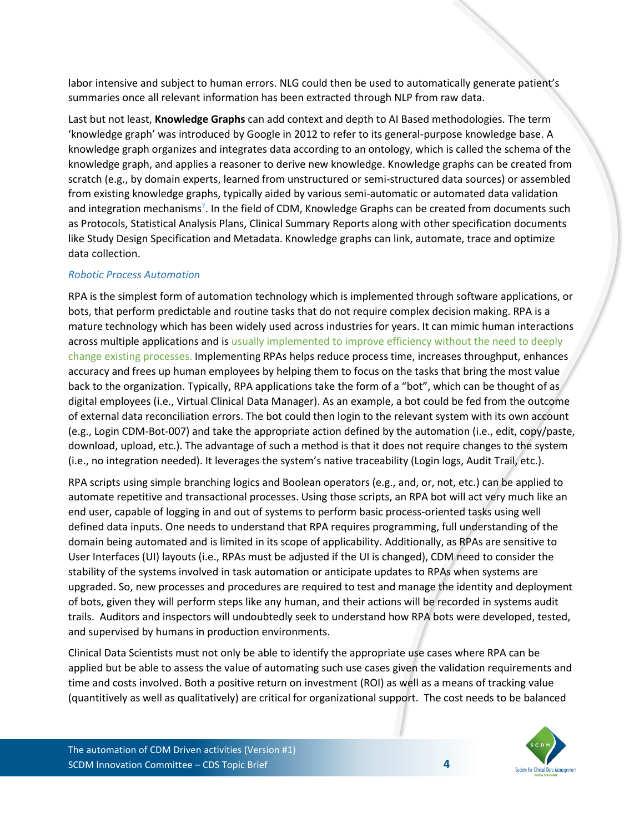labor intensive and subject to human errors. NLG could then be used to automatically generate patient's summaries once all relevant information has been extracted through NLP from raw data.

Last but not least, **Knowledge Graphs** can add context and depth to AI Based methodologies. The term 'knowledge graph' was introduced by Google in 2012 to refer to its general-purpose knowledge base. A knowledge graph organizes and integrates data according to an ontology, which is called the schema of the knowledge graph, and applies a reasoner to derive new knowledge. Knowledge graphs can be created from scratch (e.g., by domain experts, learned from unstructured or semi-structured data sources) or assembled from existing knowledge graphs, typically aided by various semi-automatic or automated data validation and integration mechanisms<sup>7</sup>. In the field of CDM, Knowledge Graphs can be created from documents such as Protocols, Statistical Analysis Plans, Clinical Summary Reports along with other specification documents like Study Design Specification and Metadata. Knowledge graphs can link, automate, trace and optimize data collection.

## *Robotic Process Automation*

RPA is the simplest form of automation technology which is implemented through software applications, or bots, that perform predictable and routine tasks that do not require complex decision making. RPA is a mature technology which has been widely used across industries for years. It can mimic human interactions across multiple applications and is usually implemented to improve efficiency without the need to deeply change existing processes. Implementing RPAs helps reduce process time, increases throughput, enhances accuracy and frees up human employees by helping them to focus on the tasks that bring the most value back to the organization. Typically, RPA applications take the form of a "bot", which can be thought of as digital employees (i.e., Virtual Clinical Data Manager). As an example, a bot could be fed from the outcome of external data reconciliation errors. The bot could then login to the relevant system with its own account (e.g., Login CDM-Bot-007) and take the appropriate action defined by the automation (i.e., edit, copy/paste, download, upload, etc.). The advantage of such a method is that it does not require changes to the system (i.e., no integration needed). It leverages the system's native traceability (Login logs, Audit Trail, etc.).

RPA scripts using simple branching logics and Boolean operators (e.g., and, or, not, etc.) can be applied to automate repetitive and transactional processes. Using those scripts, an RPA bot will act very much like an end user, capable of logging in and out of systems to perform basic process-oriented tasks using well defined data inputs. One needs to understand that RPA requires programming, full understanding of the domain being automated and is limited in its scope of applicability. Additionally, as RPAs are sensitive to User Interfaces (UI) layouts (i.e., RPAs must be adjusted if the UI is changed), CDM need to consider the stability of the systems involved in task automation or anticipate updates to RPAs when systems are upgraded. So, new processes and procedures are required to test and manage the identity and deployment of bots, given they will perform steps like any human, and their actions will be recorded in systems audit trails. Auditors and inspectors will undoubtedly seek to understand how RPA bots were developed, tested, and supervised by humans in production environments.

Clinical Data Scientists must not only be able to identify the appropriate use cases where RPA can be applied but be able to assess the value of automating such use cases given the validation requirements and time and costs involved. Both a positive return on investment (ROI) as well as a means of tracking value (quantitively as well as qualitatively) are critical for organizational support. The cost needs to be balanced

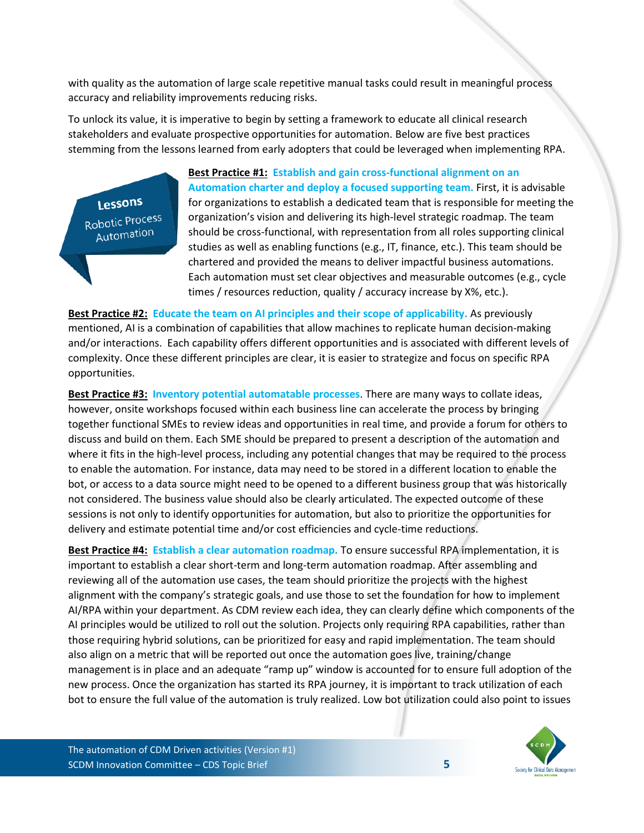with quality as the automation of large scale repetitive manual tasks could result in meaningful process accuracy and reliability improvements reducing risks.

To unlock its value, it is imperative to begin by setting a framework to educate all clinical research stakeholders and evaluate prospective opportunities for automation. Below are five best practices stemming from the lessons learned from early adopters that could be leveraged when implementing RPA.

Lessons Robotic Process Automation

**Best Practice #1: Establish and gain cross-functional alignment on an Automation charter and deploy a focused supporting team.** First, it is advisable for organizations to establish a dedicated team that is responsible for meeting the organization's vision and delivering its high-level strategic roadmap. The team should be cross-functional, with representation from all roles supporting clinical studies as well as enabling functions (e.g., IT, finance, etc.). This team should be chartered and provided the means to deliver impactful business automations. Each automation must set clear objectives and measurable outcomes (e.g., cycle times / resources reduction, quality / accuracy increase by X%, etc.).

**Best Practice #2: Educate the team on AI principles and their scope of applicability.** As previously mentioned, AI is a combination of capabilities that allow machines to replicate human decision-making and/or interactions. Each capability offers different opportunities and is associated with different levels of complexity. Once these different principles are clear, it is easier to strategize and focus on specific RPA opportunities.

**Best Practice #3: Inventory potential automatable processes**. There are many ways to collate ideas, however, onsite workshops focused within each business line can accelerate the process by bringing together functional SMEs to review ideas and opportunities in real time, and provide a forum for others to discuss and build on them. Each SME should be prepared to present a description of the automation and where it fits in the high-level process, including any potential changes that may be required to the process to enable the automation. For instance, data may need to be stored in a different location to enable the bot, or access to a data source might need to be opened to a different business group that was historically not considered. The business value should also be clearly articulated. The expected outcome of these sessions is not only to identify opportunities for automation, but also to prioritize the opportunities for delivery and estimate potential time and/or cost efficiencies and cycle-time reductions.

**Best Practice #4: Establish a clear automation roadmap.** To ensure successful RPA implementation, it is important to establish a clear short-term and long-term automation roadmap. After assembling and reviewing all of the automation use cases, the team should prioritize the projects with the highest alignment with the company's strategic goals, and use those to set the foundation for how to implement AI/RPA within your department. As CDM review each idea, they can clearly define which components of the AI principles would be utilized to roll out the solution. Projects only requiring RPA capabilities, rather than those requiring hybrid solutions, can be prioritized for easy and rapid implementation. The team should also align on a metric that will be reported out once the automation goes live, training/change management is in place and an adequate "ramp up" window is accounted for to ensure full adoption of the new process. Once the organization has started its RPA journey, it is important to track utilization of each bot to ensure the full value of the automation is truly realized. Low bot utilization could also point to issues

The automation of CDM Driven activities (Version #1) SCDM Innovation Committee – CDS Topic Brief **5**

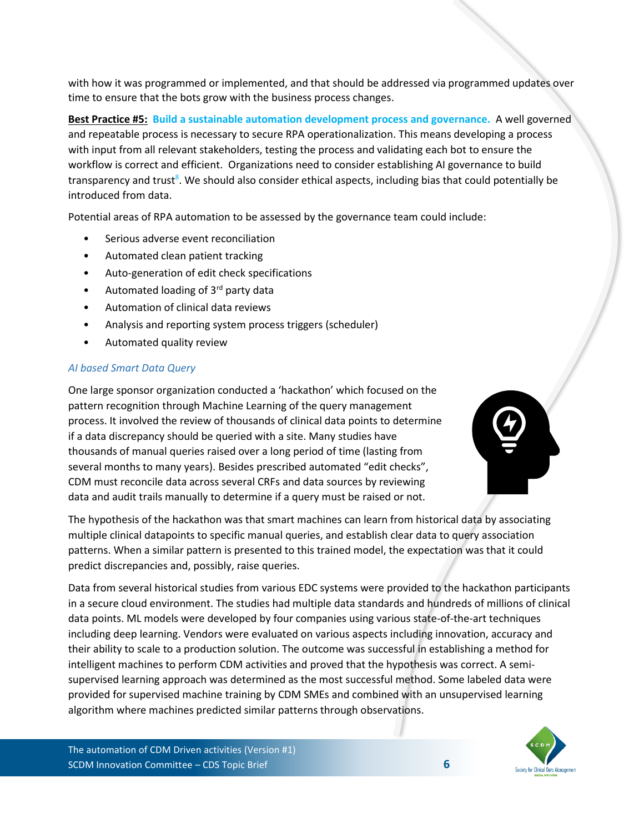with how it was programmed or implemented, and that should be addressed via programmed updates over time to ensure that the bots grow with the business process changes.

**Best Practice #5: Build a sustainable automation development process and governance.** A well governed and repeatable process is necessary to secure RPA operationalization. This means developing a process with input from all relevant stakeholders, testing the process and validating each bot to ensure the workflow is correct and efficient. Organizations need to consider establishing AI governance to build transparency and trust<sup>8</sup>. We should also consider ethical aspects, including bias that could potentially be introduced from data.

Potential areas of RPA automation to be assessed by the governance team could include:

- Serious adverse event reconciliation
- Automated clean patient tracking
- Auto-generation of edit check specifications
- Automated loading of 3rd party data
- Automation of clinical data reviews
- Analysis and reporting system process triggers (scheduler)
- Automated quality review

## *AI based Smart Data Query*

One large sponsor organization conducted a 'hackathon' which focused on the pattern recognition through Machine Learning of the query management process. It involved the review of thousands of clinical data points to determine if a data discrepancy should be queried with a site. Many studies have thousands of manual queries raised over a long period of time (lasting from several months to many years). Besides prescribed automated "edit checks", CDM must reconcile data across several CRFs and data sources by reviewing data and audit trails manually to determine if a query must be raised or not.



The hypothesis of the hackathon was that smart machines can learn from historical data by associating multiple clinical datapoints to specific manual queries, and establish clear data to query association patterns. When a similar pattern is presented to this trained model, the expectation was that it could predict discrepancies and, possibly, raise queries.

Data from several historical studies from various EDC systems were provided to the hackathon participants in a secure cloud environment. The studies had multiple data standards and hundreds of millions of clinical data points. ML models were developed by four companies using various state-of-the-art techniques including deep learning. Vendors were evaluated on various aspects including innovation, accuracy and their ability to scale to a production solution. The outcome was successful in establishing a method for intelligent machines to perform CDM activities and proved that the hypothesis was correct. A semisupervised learning approach was determined as the most successful method. Some labeled data were provided for supervised machine training by CDM SMEs and combined with an unsupervised learning algorithm where machines predicted similar patterns through observations.

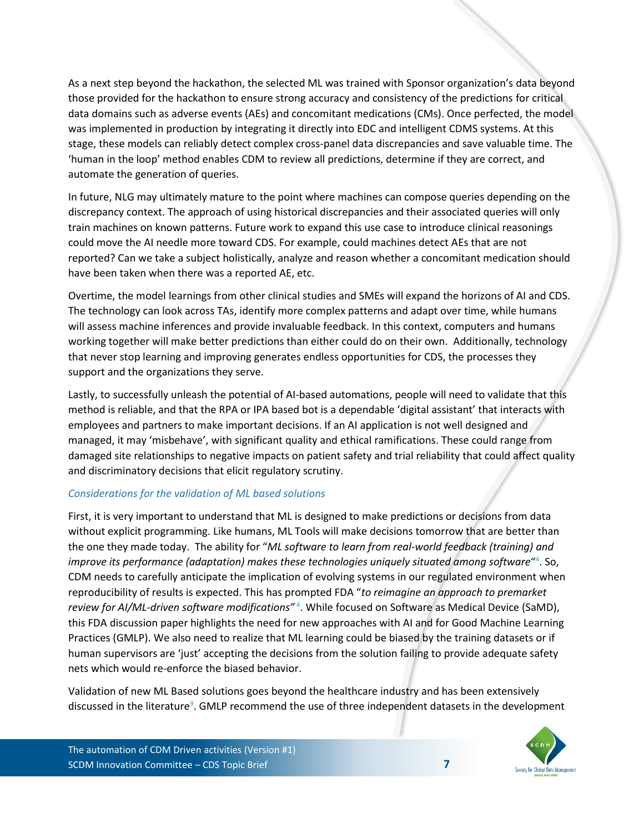As a next step beyond the hackathon, the selected ML was trained with Sponsor organization's data beyond those provided for the hackathon to ensure strong accuracy and consistency of the predictions for critical data domains such as adverse events (AEs) and concomitant medications (CMs). Once perfected, the model was implemented in production by integrating it directly into EDC and intelligent CDMS systems. At this stage, these models can reliably detect complex cross-panel data discrepancies and save valuable time. The 'human in the loop' method enables CDM to review all predictions, determine if they are correct, and automate the generation of queries.

In future, NLG may ultimately mature to the point where machines can compose queries depending on the discrepancy context. The approach of using historical discrepancies and their associated queries will only train machines on known patterns. Future work to expand this use case to introduce clinical reasonings could move the AI needle more toward CDS. For example, could machines detect AEs that are not reported? Can we take a subject holistically, analyze and reason whether a concomitant medication should have been taken when there was a reported AE, etc.

Overtime, the model learnings from other clinical studies and SMEs will expand the horizons of AI and CDS. The technology can look across TAs, identify more complex patterns and adapt over time, while humans will assess machine inferences and provide invaluable feedback. In this context, computers and humans working together will make better predictions than either could do on their own. Additionally, technology that never stop learning and improving generates endless opportunities for CDS, the processes they support and the organizations they serve.

Lastly, to successfully unleash the potential of AI-based automations, people will need to validate that this method is reliable, and that the RPA or IPA based bot is a dependable 'digital assistant' that interacts with employees and partners to make important decisions. If an AI application is not well designed and managed, it may 'misbehave', with significant quality and ethical ramifications. These could range from damaged site relationships to negative impacts on patient safety and trial reliability that could affect quality and discriminatory decisions that elicit regulatory scrutiny.

#### *Considerations for the validation of ML based solutions*

First, it is very important to understand that ML is designed to make predictions or decisions from data without explicit programming. Like humans, ML Tools will make decisions tomorrow that are better than the one they made today. The ability for "*ML software to learn from real-world feedback (training) and*  improve its performance (adaptation) makes these technologies uniquely situated among software<sup>"4</sup>. So, CDM needs to carefully anticipate the implication of evolving systems in our regulated environment when reproducibility of results is expected. This has prompted FDA "*to reimagine an approach to premarket*  review for AI/ML-driven software modifications<sup>" 4</sup>. While focused on Software as Medical Device (SaMD), this FDA discussion paper highlights the need for new approaches with AI and for Good Machine Learning Practices (GMLP). We also need to realize that ML learning could be biased by the training datasets or if human supervisors are 'just' accepting the decisions from the solution failing to provide adequate safety nets which would re-enforce the biased behavior.

Validation of new ML Based solutions goes beyond the healthcare industry and has been extensively discussed in the literature<sup>9</sup>. GMLP recommend the use of three independent datasets in the development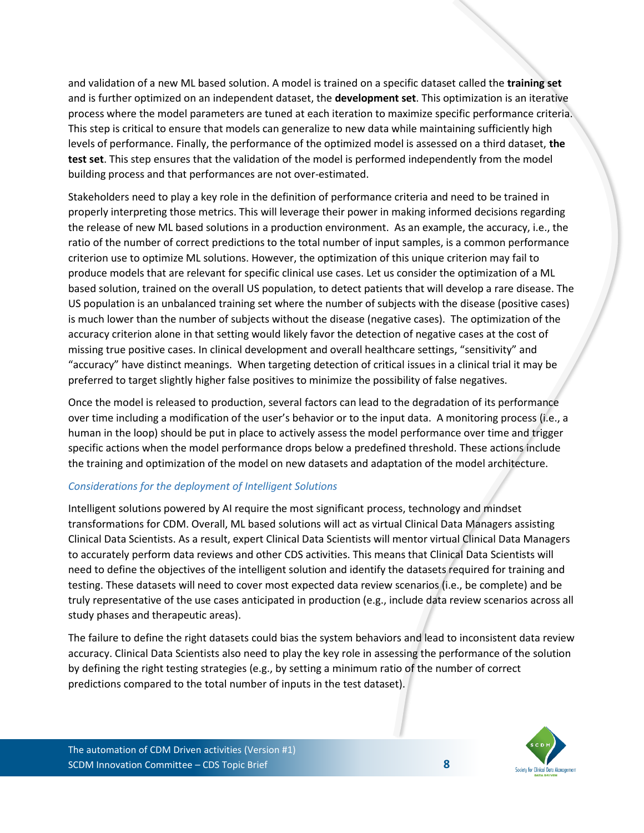and validation of a new ML based solution. A model is trained on a specific dataset called the **training set** and is further optimized on an independent dataset, the **development set**. This optimization is an iterative process where the model parameters are tuned at each iteration to maximize specific performance criteria. This step is critical to ensure that models can generalize to new data while maintaining sufficiently high levels of performance. Finally, the performance of the optimized model is assessed on a third dataset, **the test set**. This step ensures that the validation of the model is performed independently from the model building process and that performances are not over-estimated.

Stakeholders need to play a key role in the definition of performance criteria and need to be trained in properly interpreting those metrics. This will leverage their power in making informed decisions regarding the release of new ML based solutions in a production environment. As an example, the accuracy, i.e., the ratio of the number of correct predictions to the total number of input samples, is a common performance criterion use to optimize ML solutions. However, the optimization of this unique criterion may fail to produce models that are relevant for specific clinical use cases. Let us consider the optimization of a ML based solution, trained on the overall US population, to detect patients that will develop a rare disease. The US population is an unbalanced training set where the number of subjects with the disease (positive cases) is much lower than the number of subjects without the disease (negative cases). The optimization of the accuracy criterion alone in that setting would likely favor the detection of negative cases at the cost of missing true positive cases. In clinical development and overall healthcare settings, "sensitivity" and "accuracy" have distinct meanings. When targeting detection of critical issues in a clinical trial it may be preferred to target slightly higher false positives to minimize the possibility of false negatives.

Once the model is released to production, several factors can lead to the degradation of its performance over time including a modification of the user's behavior or to the input data. A monitoring process (i.e., a human in the loop) should be put in place to actively assess the model performance over time and trigger specific actions when the model performance drops below a predefined threshold. These actions include the training and optimization of the model on new datasets and adaptation of the model architecture.

## *Considerations for the deployment of Intelligent Solutions*

Intelligent solutions powered by AI require the most significant process, technology and mindset transformations for CDM. Overall, ML based solutions will act as virtual Clinical Data Managers assisting Clinical Data Scientists. As a result, expert Clinical Data Scientists will mentor virtual Clinical Data Managers to accurately perform data reviews and other CDS activities. This means that Clinical Data Scientists will need to define the objectives of the intelligent solution and identify the datasets required for training and testing. These datasets will need to cover most expected data review scenarios (i.e., be complete) and be truly representative of the use cases anticipated in production (e.g., include data review scenarios across all study phases and therapeutic areas).

The failure to define the right datasets could bias the system behaviors and lead to inconsistent data review accuracy. Clinical Data Scientists also need to play the key role in assessing the performance of the solution by defining the right testing strategies (e.g., by setting a minimum ratio of the number of correct predictions compared to the total number of inputs in the test dataset).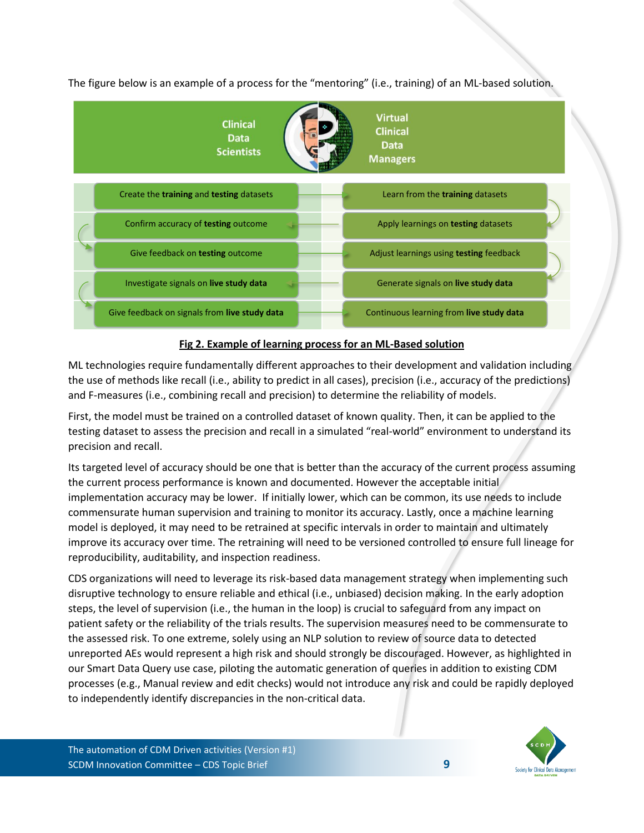

The figure below is an example of a process for the "mentoring" (i.e., training) of an ML-based solution.

#### **Fig 2. Example of learning process for an ML-Based solution**

ML technologies require fundamentally different approaches to their development and validation including the use of methods like recall (i.e., ability to predict in all cases), precision (i.e., accuracy of the predictions) and F-measures (i.e., combining recall and precision) to determine the reliability of models.

First, the model must be trained on a controlled dataset of known quality. Then, it can be applied to the testing dataset to assess the precision and recall in a simulated "real-world" environment to understand its precision and recall.

Its targeted level of accuracy should be one that is better than the accuracy of the current process assuming the current process performance is known and documented. However the acceptable initial implementation accuracy may be lower. If initially lower, which can be common, its use needs to include commensurate human supervision and training to monitor its accuracy. Lastly, once a machine learning model is deployed, it may need to be retrained at specific intervals in order to maintain and ultimately improve its accuracy over time. The retraining will need to be versioned controlled to ensure full lineage for reproducibility, auditability, and inspection readiness.

CDS organizations will need to leverage its risk-based data management strategy when implementing such disruptive technology to ensure reliable and ethical (i.e., unbiased) decision making. In the early adoption steps, the level of supervision (i.e., the human in the loop) is crucial to safeguard from any impact on patient safety or the reliability of the trials results. The supervision measures need to be commensurate to the assessed risk. To one extreme, solely using an NLP solution to review of source data to detected unreported AEs would represent a high risk and should strongly be discouraged. However, as highlighted in our Smart Data Query use case, piloting the automatic generation of queries in addition to existing CDM processes (e.g., Manual review and edit checks) would not introduce any risk and could be rapidly deployed to independently identify discrepancies in the non-critical data.

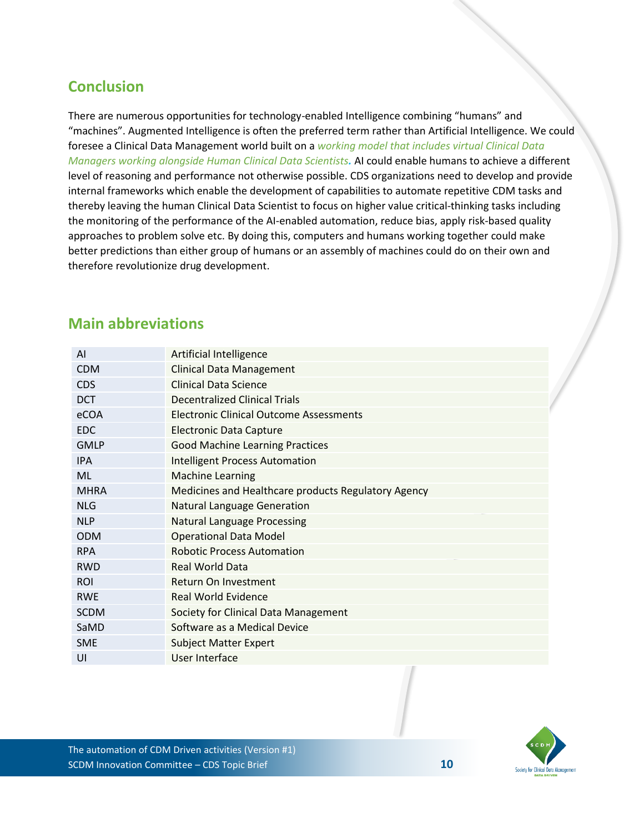# **Conclusion**

There are numerous opportunities for technology-enabled Intelligence combining "humans" and "machines". Augmented Intelligence is often the preferred term rather than Artificial Intelligence. We could foresee a Clinical Data Management world built on a *working model that includes virtual Clinical Data Managers working alongside Human Clinical Data Scientists.* AI could enable humans to achieve a different level of reasoning and performance not otherwise possible. CDS organizations need to develop and provide internal frameworks which enable the development of capabilities to automate repetitive CDM tasks and thereby leaving the human Clinical Data Scientist to focus on higher value critical-thinking tasks including the monitoring of the performance of the AI-enabled automation, reduce bias, apply risk-based quality approaches to problem solve etc. By doing this, computers and humans working together could make better predictions than either group of humans or an assembly of machines could do on their own and therefore revolutionize drug development.

# **Main abbreviations**

| AI          | <b>Artificial Intelligence</b>                      |  |  |  |
|-------------|-----------------------------------------------------|--|--|--|
| <b>CDM</b>  | <b>Clinical Data Management</b>                     |  |  |  |
| <b>CDS</b>  | <b>Clinical Data Science</b>                        |  |  |  |
| <b>DCT</b>  | <b>Decentralized Clinical Trials</b>                |  |  |  |
| eCOA        | <b>Electronic Clinical Outcome Assessments</b>      |  |  |  |
| <b>EDC</b>  | <b>Electronic Data Capture</b>                      |  |  |  |
| <b>GMLP</b> | <b>Good Machine Learning Practices</b>              |  |  |  |
| <b>IPA</b>  | <b>Intelligent Process Automation</b>               |  |  |  |
| ML          | <b>Machine Learning</b>                             |  |  |  |
| <b>MHRA</b> | Medicines and Healthcare products Regulatory Agency |  |  |  |
| <b>NLG</b>  | <b>Natural Language Generation</b>                  |  |  |  |
| <b>NLP</b>  | <b>Natural Language Processing</b>                  |  |  |  |
| <b>ODM</b>  | <b>Operational Data Model</b>                       |  |  |  |
| <b>RPA</b>  | <b>Robotic Process Automation</b>                   |  |  |  |
| <b>RWD</b>  | <b>Real World Data</b>                              |  |  |  |
| <b>ROI</b>  | Return On Investment                                |  |  |  |
| <b>RWE</b>  | <b>Real World Evidence</b>                          |  |  |  |
| <b>SCDM</b> | Society for Clinical Data Management                |  |  |  |
| SaMD        | Software as a Medical Device                        |  |  |  |
| <b>SME</b>  | <b>Subject Matter Expert</b>                        |  |  |  |
| UI          | User Interface                                      |  |  |  |